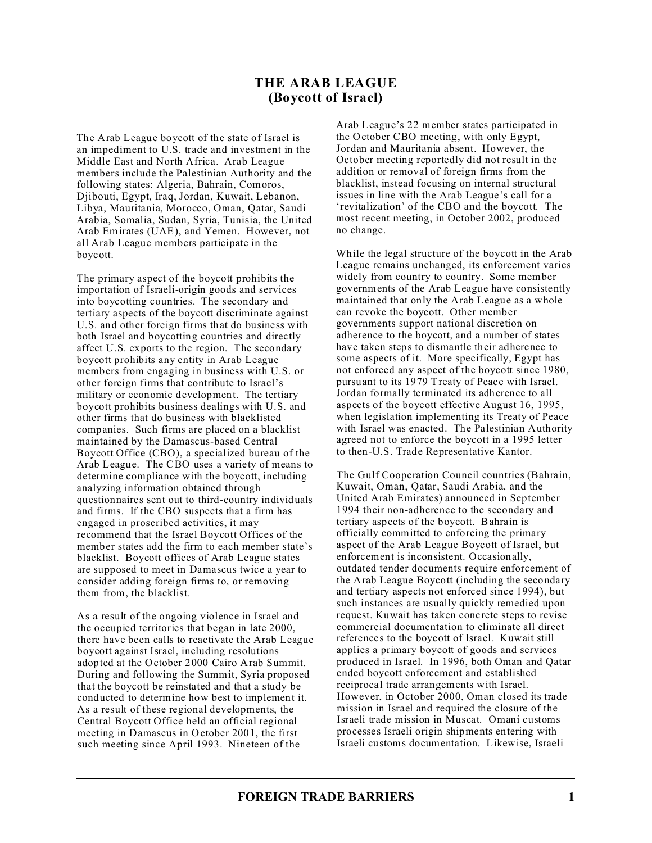## **THE ARAB LEAGUE (Boycott of Israel)**

The Arab League boycott of the state of Israel is an impediment to U.S. trade and investment in the Middle East and North Africa. Arab League members include the Palestinian Authority and the following states: Algeria, Bahrain, Comoros, Djibouti, Egypt, Iraq, Jordan, Kuwait, Lebanon, Libya, Mauritania, Morocco, Oman, Qatar, Saudi Arabia, Somalia, Sudan, Syria, Tunisia, the United Arab Emirates (UAE), and Yemen. However, not all Arab League members participate in the boycott.

The primary aspect of the boycott prohibits the importation of Israeli-origin goods and services into boycotting countries. The secondary and tertiary aspects of the boycott discriminate against U.S. and other foreign firms that do business with both Israel and boycotting countries and directly affect U.S. exports to the region. The secondary boycott prohibits any entity in Arab League members from engaging in business with U.S. or other foreign firms that contribute to Israel's military or economic development. The tertiary boycott prohibits business dealings with U.S. and other firms that do business with blacklisted companies. Such firms are placed on a blacklist maintained by the Damascus-based Central Boycott Office (CBO), a specialized bureau of the Arab League. The CBO uses a variety of means to determine compliance with the boycott, including analyzing information obtained through questionnaires sent out to third-country individuals and firms. If the CBO suspects that a firm has engaged in proscribed activities, it may recommend that the Israel Boycott Offices of the member states add the firm to each member state's blacklist. Boycott offices of Arab League states are supposed to meet in Damascus twice a year to consider adding foreign firms to, or removing them from, the blacklist.

As a result of the ongoing violence in Israel and the occupied territories that began in late 2000, there have been calls to reactivate the Arab League boycott against Israel, including resolutions adopted at the October 2000 Cairo Arab Summit. During and following the Summit, Syria proposed that the boycott be reinstated and that a study be conducted to determine how best to implement it. As a result of these regional developments, the Central Boycott Office held an official regional meeting in Damascus in October 2001, the first such meeting since April 1993. Nineteen of the

Arab League's 22 member states participated in the October CBO meeting, with only Egypt, Jordan and Mauritania absent. However, the October meeting reportedly did not result in the addition or removal of foreign firms from the blacklist, instead focusing on internal structural issues in line with the Arab League's call for a 'revitalization' of the CBO and the boycott. The most recent meeting, in October 2002, produced no change.

While the legal structure of the boycott in the Arab League remains unchanged, its enforcement varies widely from country to country. Some member governments of the Arab League have consistently maintained that only the Arab League as a whole can revoke the boycott. Other member governments support national discretion on adherence to the boycott, and a number of states have taken steps to dismantle their adherence to some aspects of it. More specifically, Egypt has not enforced any aspect of the boycott since 1980, pursuant to its 1979 Treaty of Peace with Israel. Jordan formally terminated its adherence to all aspects of the boycott effective August 16, 1995, when legislation implementing its Treaty of Peace with Israel was enacted. The Palestinian Authority agreed not to enforce the boycott in a 1995 letter to then-U.S. Trade Representative Kantor.

The Gulf Cooperation Council countries (Bahrain, Kuwait, Oman, Qatar, Saudi Arabia, and the United Arab Emirates) announced in September 1994 their non-adherence to the secondary and tertiary aspects of the boycott. Bahrain is officially committed to enforcing the primary aspect of the Arab League Boycott of Israel, but enforcement is inconsistent. Occasionally, outdated tender documents require enforcement of the Arab League Boycott (including the secondary and tertiary aspects not enforced since 1994), but such instances are usually quickly remedied upon request. Kuwait has taken concrete steps to revise commercial documentation to eliminate all direct references to the boycott of Israel. Kuwait still applies a primary boycott of goods and services produced in Israel. In 1996, both Oman and Qatar ended boycott enforcement and established reciprocal trade arrangements with Israel. However, in October 2000, Oman closed its trade mission in Israel and required the closure of the Israeli trade mission in Muscat. Omani customs processes Israeli origin shipments entering with Israeli customs documentation. Likewise, Israeli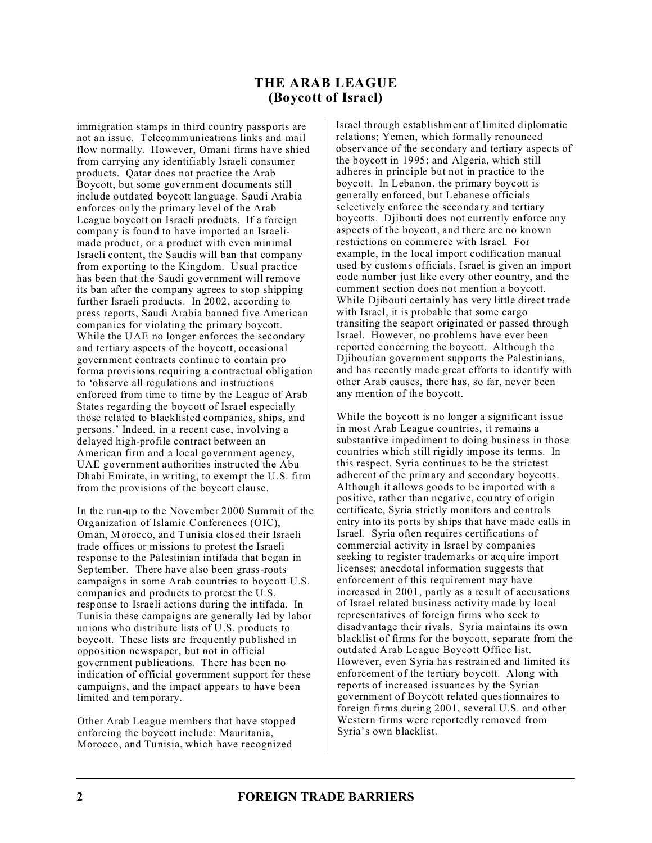## **THE ARAB LEAGUE (Boycott of Israel)**

immigration stamps in third country passports are not an issue. Telecommunications links and mail flow normally. However, Omani firms have shied from carrying any identifiably Israeli consumer products. Qatar does not practice the Arab Boycott, but some government documents still include outdated boycott language. Saudi Arabia enforces only the primary level of the Arab League boycott on Israeli products. If a foreign company is found to have imported an Israelimade product, or a product with even minimal Israeli content, the Saudis will ban that company from exporting to the Kingdom. Usual practice has been that the Saudi government will remove its ban after the company agrees to stop shipping further Israeli products. In 2002, according to press reports, Saudi Arabia banned five American companies for violating the primary boycott. While the UAE no longer enforces the secondary and tertiary aspects of the boycott, occasional government contracts continue to contain pro forma provisions requiring a contractual obligation to 'observe all regulations and instructions enforced from time to time by the League of Arab States regarding the boycott of Israel especially those related to blacklisted companies, ships, and persons.' Indeed, in a recent case, involving a delayed high-profile contract between an American firm and a local government agency, UAE government authorities instructed the Abu Dhabi Emirate, in writing, to exempt the U.S. firm from the provisions of the boycott clause.

In the run-up to the November 2000 Summit of the Organization of Islamic Conferences (OIC), Oman, Morocco, and Tunisia closed their Israeli trade offices or missions to protest the Israeli response to the Palestinian intifada that began in September. There have also been grass-roots campaigns in some Arab countries to boycott U.S. companies and products to protest the U.S. response to Israeli actions during the intifada. In Tunisia these campaigns are generally led by labor unions who distribute lists of U.S. products to boycott. These lists are frequently published in opposition newspaper, but not in official government publications. There has been no indication of official government support for these campaigns, and the impact appears to have been limited and temporary.

Other Arab League members that have stopped enforcing the boycott include: Mauritania, Morocco, and Tunisia, which have recognized

Israel through establishment of limited diplomatic relations; Yemen, which formally renounced observance of the secondary and tertiary aspects of the boycott in 1995; and Algeria, which still adheres in principle but not in practice to the boycott. In Lebanon, the primary boycott is generally enforced, but Lebanese officials selectively enforce the secondary and tertiary boycotts. Djibouti does not currently enforce any aspects of the boycott, and there are no known restrictions on commerce with Israel. For example, in the local import codification manual used by customs officials, Israel is given an import code number just like every other country, and the comment section does not mention a boycott. While Djibouti certainly has very little direct trade with Israel, it is probable that some cargo transiting the seaport originated or passed through Israel. However, no problems have ever been reported concerning the boycott. Although the Djiboutian government supports the Palestinians, and has recently made great efforts to identify with other Arab causes, there has, so far, never been any mention of the boycott.

While the boycott is no longer a significant issue in most Arab League countries, it remains a substantive impediment to doing business in those countries which still rigidly impose its terms. In this respect, Syria continues to be the strictest adherent of the primary and secondary boycotts. Although it allows goods to be imported with a positive, rather than negative, country of origin certificate, Syria strictly monitors and controls entry into its ports by ships that have made calls in Israel. Syria often requires certifications of commercial activity in Israel by companies seeking to register trademarks or acquire import licenses; anecdotal information suggests that enforcement of this requirement may have increased in 2001, partly as a result of accusations of Israel related business activity made by local representatives of foreign firms who seek to disadvantage their rivals. Syria maintains its own blacklist of firms for the boycott, separate from the outdated Arab League Boycott Office list. However, even Syria has restrained and limited its enforcement of the tertiary boycott. Along with reports of increased issuances by the Syrian government of Boycott related questionnaires to foreign firms during 2001, several U.S. and other Western firms were reportedly removed from Syria's own blacklist.